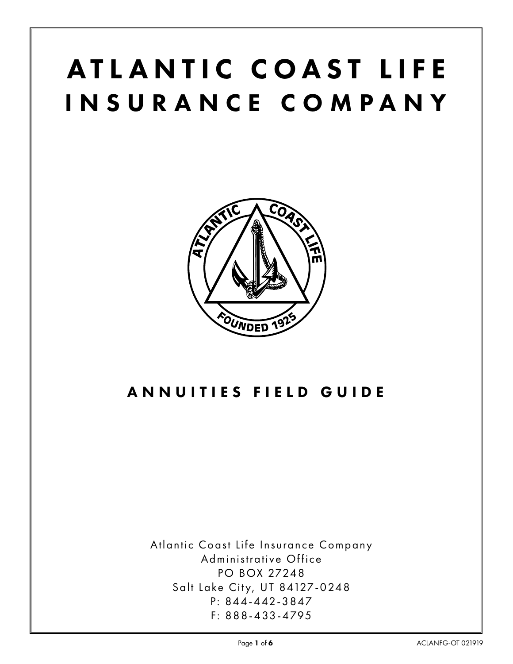# ATLANTIC COAST LIFE INSURANCE COMPANY



# ANNUITIES FIELD GUIDE

Atlantic Coast Life Insurance Company Administrative Office PO BOX 27248 Salt Lake City, UT 84127-0248 P: 844-442-3847 F: 888-433-4795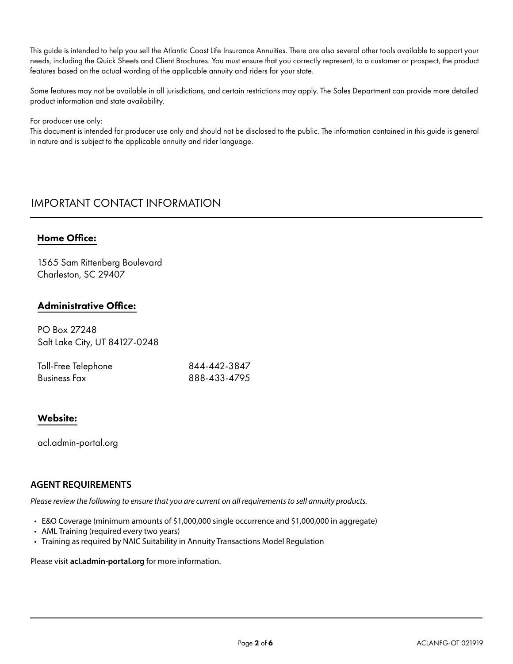This guide is intended to help you sell the Atlantic Coast Life Insurance Annuities. There are also several other tools available to support your needs, including the Quick Sheets and Client Brochures. You must ensure that you correctly represent, to a customer or prospect, the product features based on the actual wording of the applicable annuity and riders for your state.

Some features may not be available in all jurisdictions, and certain restrictions may apply. The Sales Department can provide more detailed product information and state availability.

#### For producer use only:

This document is intended for producer use only and should not be disclosed to the public. The information contained in this guide is general in nature and is subject to the applicable annuity and rider language.

# IMPORTANT CONTACT INFORMATION

# Home Office:

1565 Sam Rittenberg Boulevard Charleston, SC 29407

# Administrative Office:

PO Box 27248 Salt Lake City, UT 84127-0248

| Toll-Free Telephone | 844-442-3847 |
|---------------------|--------------|
| <b>Business Fax</b> | 888-433-4795 |

# Website:

acl.admin-portal.org

# **AGENT REQUIREMENTS**

*Please review the following to ensure that you are current on all requirements to sell annuity products.* 

- E&O Coverage (minimum amounts of \$1,000,000 single occurrence and \$1,000,000 in aggregate)
- AML Training (required every two years)
- Training as required by NAIC Suitability in Annuity Transactions Model Regulation

Please visit **acl.admin-portal.org** for more information.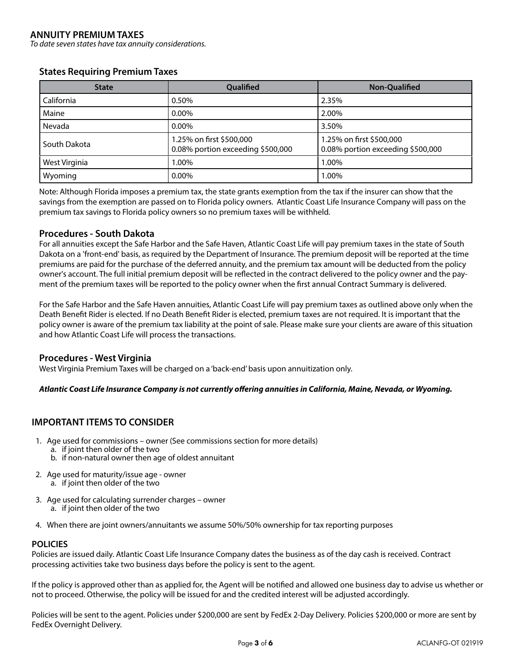## **ANNUITY PREMIUM TAXES**

*To date seven states have tax annuity considerations.*

#### **States Requiring Premium Taxes**

| <b>State</b>  | <b>Qualified</b>                                              | <b>Non-Qualified</b>                                          |
|---------------|---------------------------------------------------------------|---------------------------------------------------------------|
| California    | 0.50%                                                         | 2.35%                                                         |
| Maine         | $0.00\%$                                                      | 2.00%                                                         |
| Nevada        | $0.00\%$                                                      | 3.50%                                                         |
| South Dakota  | 1.25% on first \$500,000<br>0.08% portion exceeding \$500,000 | 1.25% on first \$500,000<br>0.08% portion exceeding \$500,000 |
| West Virginia | 1.00%                                                         | 1.00%                                                         |
| Wyoming       | 0.00%                                                         | 1.00%                                                         |

Note: Although Florida imposes a premium tax, the state grants exemption from the tax if the insurer can show that the savings from the exemption are passed on to Florida policy owners. Atlantic Coast Life Insurance Company will pass on the premium tax savings to Florida policy owners so no premium taxes will be withheld.

#### **Procedures - South Dakota**

For all annuities except the Safe Harbor and the Safe Haven, Atlantic Coast Life will pay premium taxes in the state of South Dakota on a 'front-end' basis, as required by the Department of Insurance. The premium deposit will be reported at the time premiums are paid for the purchase of the deferred annuity, and the premium tax amount will be deducted from the policy owner's account. The full initial premium deposit will be reflected in the contract delivered to the policy owner and the payment of the premium taxes will be reported to the policy owner when the first annual Contract Summary is delivered.

For the Safe Harbor and the Safe Haven annuities, Atlantic Coast Life will pay premium taxes as outlined above only when the Death Benefit Rider is elected. If no Death Benefit Rider is elected, premium taxes are not required. It is important that the policy owner is aware of the premium tax liability at the point of sale. Please make sure your clients are aware of this situation and how Atlantic Coast Life will process the transactions.

#### **Procedures - West Virginia**

West Virginia Premium Taxes will be charged on a 'back-end' basis upon annuitization only.

#### *Atlantic Coast Life Insurance Company is not currently offering annuities in California, Maine, Nevada, or Wyoming.*

# **IMPORTANT ITEMS TO CONSIDER**

- 1. Age used for commissions owner (See commissions section for more details)
- a. if joint then older of the two
	- b. if non-natural owner then age of oldest annuitant
- 2. Age used for maturity/issue age owner a. if joint then older of the two
- 3. Age used for calculating surrender charges owner a. if joint then older of the two
- 4. When there are joint owners/annuitants we assume 50%/50% ownership for tax reporting purposes

#### **POLICIES**

Policies are issued daily. Atlantic Coast Life Insurance Company dates the business as of the day cash is received. Contract processing activities take two business days before the policy is sent to the agent.

If the policy is approved other than as applied for, the Agent will be notified and allowed one business day to advise us whether or not to proceed. Otherwise, the policy will be issued for and the credited interest will be adjusted accordingly.

Policies will be sent to the agent. Policies under \$200,000 are sent by FedEx 2-Day Delivery. Policies \$200,000 or more are sent by FedEx Overnight Delivery.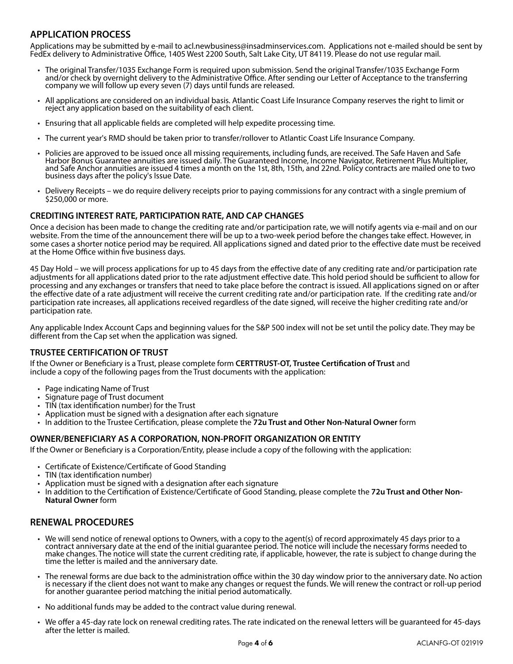# **APPLICATION PROCESS**

Applications may be submitted by e-mail to acl.newbusiness@insadminservices.com. Applications not e-mailed should be sent by FedEx delivery to Administrative Office, 1405 West 2200 South, Salt Lake City, UT 84119. Please do not use regular mail.

- The original Transfer/1035 Exchange Form is required upon submission. Send the original Transfer/1035 Exchange Form and/or check by overnight delivery to the Administrative Office. After sending our Letter of Acceptance to the transferring
- company we will follow up every seven (7) days until funds are released.<br>• All applications are considered on an individual basis. Atlantic Coast Life Insurance Company reserves the right to limit or • All applications are considered on an individual basis. Atlantic Coast Life Insurance Company reserves the right to limit or reject any application based on the suitability of each client.
	- Ensuring that all applicable fields are completed will help expedite processing time.
	- The current year's RMD should be taken prior to transfer/rollover to Atlantic Coast Life Insurance Company.
	- Policies are approved to be issued once all missing requirements, including funds, are received. The Safe Haven and Safe Harbor Bonus Guarantee annuities are issued daily. The Guaranteed Income, Income Navigator, Retirement Plus Multiplier, and Safe Anchor annuities are issued 4 times a month on the 1st, 8th, 15th, and 22nd. Policy contracts are mailed one to two business days after the policy's Issue Date.
	- Delivery Receipts we do require delivery receipts prior to paying commissions for any contract with a single premium of \$250,000 or more.

#### **CREDITING INTEREST RATE, PARTICIPATION RATE, AND CAP CHANGES**

Once a decision has been made to change the crediting rate and/or participation rate, we will notify agents via e-mail and on our website. From the time of the announcement there will be up to a two-week period before the changes take effect. However, in some cases a shorter notice period may be required. All applications signed and dated prior to the effective date must be received at the Home Office within five business days.

45 Day Hold – we will process applications for up to 45 days from the effective date of any crediting rate and/or participation rate adjustments for all applications dated prior to the rate adjustment effective date. This hold period should be sufficient to allow for processing and any exchanges or transfers that need to take place before the contract is issued. All applications signed on or after the effective date of a rate adjustment will receive the current crediting rate and/or participation rate. If the crediting rate and/or participation rate increases, all applications received regardless of the date signed, will receive the higher crediting rate and/or participation rate.

Any applicable Index Account Caps and beginning values for the S&P 500 index will not be set until the policy date. They may be different from the Cap set when the application was signed.

#### **TRUSTEE CERTIFICATION OF TRUST**

If the Owner or Beneficiary is a Trust, please complete form **CERTTRUST-OT, Trustee Certification of Trust** and include a copy of the following pages from the Trust documents with the application:

- Page indicating Name of Trust
- Signature page of Trust document
- TIN (tax identification number) for the Trust
- Application must be signed with a designation after each signature
- In addition to the Trustee Certification, please complete the **72u Trust and Other Non-Natural Owner** form

#### **OWNER/BENEFICIARY AS A CORPORATION, NON-PROFIT ORGANIZATION OR ENTITY**

If the Owner or Beneficiary is a Corporation/Entity, please include a copy of the following with the application:

- Certificate of Existence/Certificate of Good Standing
- TIN (tax identification number)
- Application must be signed with a designation after each signature
- In addition to the Certification of Existence/Certificate of Good Standing, please complete the **72u Trust and Other Non-Natural Owner** form

#### **RENEWAL PROCEDURES**

- We will send notice of renewal options to Owners, with a copy to the agent(s) of record approximately 45 days prior to a contract anniversary date at the end of the initial guarantee period. The notice will include the necessary forms needed to make changes. The notice will state the current crediting rate, if applicable, however, the rate is subject to change during the time the letter is mailed and the anniversary date.
- The renewal forms are due back to the administration office within the 30 day window prior to the anniversary date. No action is necessary if the client does not want to make any changes or request the funds. We will renew the contract or roll-up period for another guarantee period matching the initial period automatically.
- No additional funds may be added to the contract value during renewal.
- We offer a 45-day rate lock on renewal crediting rates. The rate indicated on the renewal letters will be guaranteed for 45-days after the letter is mailed.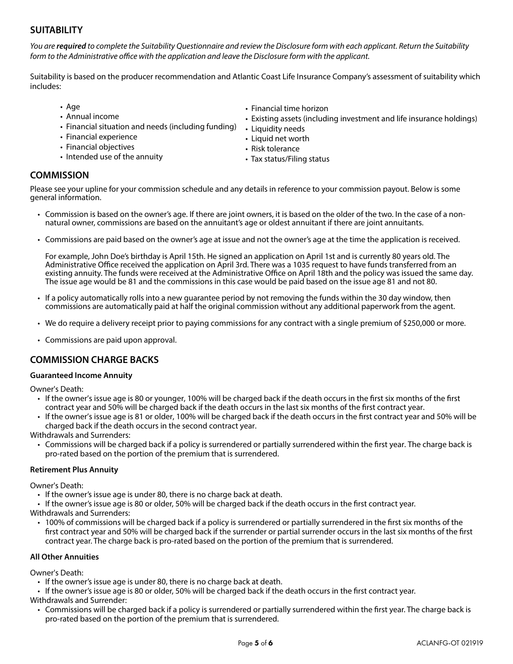# **SUITABILITY**

*You are required to complete the Suitability Questionnaire and review the Disclosure form with each applicant. Return the Suitability form to the Administrative office with the application and leave the Disclosure form with the applicant.*

Suitability is based on the producer recommendation and Atlantic Coast Life Insurance Company's assessment of suitability which includes:

- Age
- Annual income
- Financial situation and needs (including funding)
- Financial experience
- Financial objectives
- Intended use of the annuity
- Financial time horizon
- Existing assets (including investment and life insurance holdings)
- Liquidity needs
- Liquid net worth
- Risk tolerance
- Tax status/Filing status

# **COMMISSION**

Please see your upline for your commission schedule and any details in reference to your commission payout. Below is some general information.

- Commission is based on the owner's age. If there are joint owners, it is based on the older of the two. In the case of a nonnatural owner, commissions are based on the annuitant's age or oldest annuitant if there are joint annuitants.
- Commissions are paid based on the owner's age at issue and not the owner's age at the time the application is received.

For example, John Doe's birthday is April 15th. He signed an application on April 1st and is currently 80 years old. The Administrative Office received the application on April 3rd. There was a 1035 request to have funds transferred from an existing annuity. The funds were received at the Administrative Office on April 18th and the policy was issued the same day. The issue age would be 81 and the commissions in this case would be paid based on the issue age 81 and not 80.

- If a policy automatically rolls into a new guarantee period by not removing the funds within the 30 day window, then commissions are automatically paid at half the original commission without any additional paperwork from the agent.
- We do require a delivery receipt prior to paying commissions for any contract with a single premium of \$250,000 or more.
- Commissions are paid upon approval.

#### **COMMISSION CHARGE BACKS**

#### **Guaranteed Income Annuity**

Owner's Death:

- If the owner's issue age is 80 or younger, 100% will be charged back if the death occurs in the first six months of the first contract year and 50% will be charged back if the death occurs in the last six months of the first contract year.
- If the owner's issue age is 81 or older, 100% will be charged back if the death occurs in the first contract year and 50% will be charged back if the death occurs in the second contract year.

Withdrawals and Surrenders:

• Commissions will be charged back if a policy is surrendered or partially surrendered within the first year. The charge back is pro-rated based on the portion of the premium that is surrendered.

#### **Retirement Plus Annuity**

Owner's Death:

• If the owner's issue age is under 80, there is no charge back at death.

• If the owner's issue age is 80 or older, 50% will be charged back if the death occurs in the first contract year.

Withdrawals and Surrenders:

• 100% of commissions will be charged back if a policy is surrendered or partially surrendered in the first six months of the first contract year and 50% will be charged back if the surrender or partial surrender occurs in the last six months of the first contract year. The charge back is pro-rated based on the portion of the premium that is surrendered.

#### **All Other Annuities**

Owner's Death:

- If the owner's issue age is under 80, there is no charge back at death.
- If the owner's issue age is 80 or older, 50% will be charged back if the death occurs in the first contract year. Withdrawals and Surrender:
	- Commissions will be charged back if a policy is surrendered or partially surrendered within the first year. The charge back is pro-rated based on the portion of the premium that is surrendered.